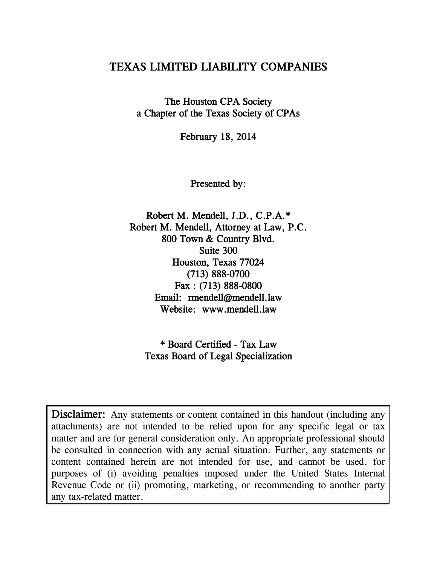# TEXAS LIMITED LIABILITY COMPANIES

The Houston CPA Society a Chapter of the Texas Society of CPAs

February 18, 2014

Presented by:

Robert M. Mendell, J.D., C.P.A.\* Robert M. Mendell, Attorney at Law, P.C. 800 Town & Country Blvd. Suite 300 Houston, Texas 77024 (713) 888-0700 Fax : (713) 888-0800 Email: rmendell@mendell.law Website: www.mendell.law

\* Board Certified - Tax Law Texas Board of Legal Specialization

Disclaimer: Any statements or content contained in this handout (including any attachments) are not intended to be relied upon for any specific legal or tax matter and are for general consideration only. An appropriate professional should be consulted in connection with any actual situation. Further, any statements or content contained herein are not intended for use, and cannot be used, for purposes of (i) avoiding penalties imposed under the United States Internal Revenue Code or (ii) promoting, marketing, or recommending to another party any tax-related matter.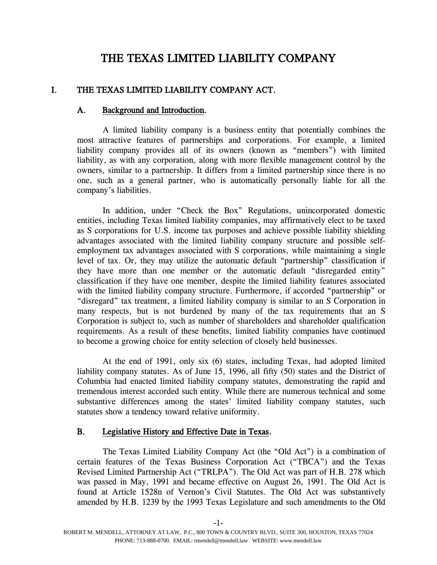# THE TEXAS LIMITED LIABILITY COMPANY

## I. THE TEXAS LIMITED LIABILITY COMPANY ACT.

#### A. Background and Introduction.

A limited liability company is a business entity that potentially combines the most attractive features of partnerships and corporations. For example, a limited liability company provides all of its owners (known as "members") with limited liability, as with any corporation, along with more flexible management control by the owners, similar to a partnership. It differs from a limited partnership since there is no one, such as a general partner, who is automatically personally liable for all the company's liabilities.

In addition, under "Check the Box" Regulations, unincorporated domestic entities, including Texas limited liability companies, may affirmatively elect to be taxed as S corporations for U.S. income tax purposes and achieve possible liability shielding advantages associated with the limited liability company structure and possible selfemployment tax advantages associated with S corporations, while maintaining a single level of tax. Or, they may utilize the automatic default "partnership" classification if they have more than one member or the automatic default "disregarded entity" classification if they have one member, despite the limited liability features associated with the limited liability company structure. Furthermore, if accorded "partnership" or "disregard" tax treatment, a limited liability company is similar to an S Corporation in many respects, but is not burdened by many of the tax requirements that an S Corporation is subject to, such as number of shareholders and shareholder qualification requirements. As a result of these benefits, limited liability companies have continued to become a growing choice for entity selection of closely held businesses.

At the end of 1991, only six (6) states, including Texas, had adopted limited liability company statutes. As of June 15, 1996, all fifty (50) states and the District of Columbia had enacted limited liability company statutes, demonstrating the rapid and tremendous interest accorded such entity. While there are numerous technical and some substantive differences among the states' limited liability company statutes, such statutes show a tendency toward relative uniformity.

#### B. Legislative History and Effective Date in Texas.

The Texas Limited Liability Company Act (the "Old Act") is a combination of certain features of the Texas Business Corporation Act ("TBCA") and the Texas Revised Limited Partnership Act ("TRLPA"). The Old Act was part of H.B. 278 which was passed in May, 1991 and became effective on August 26, 1991. The Old Act is found at Article 1528n of Vernon's Civil Statutes. The Old Act was substantively amended by H.B. 1239 by the 1993 Texas Legislature and such amendments to the Old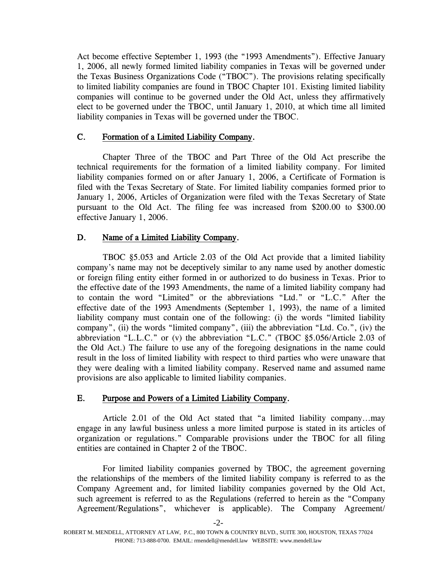Act become effective September 1, 1993 (the "1993 Amendments"). Effective January 1, 2006, all newly formed limited liability companies in Texas will be governed under the Texas Business Organizations Code ("TBOC"). The provisions relating specifically to limited liability companies are found in TBOC Chapter 101. Existing limited liability companies will continue to be governed under the Old Act, unless they affirmatively elect to be governed under the TBOC, until January 1, 2010, at which time all limited liability companies in Texas will be governed under the TBOC.

## C. Formation of a Limited Liability Company.

Chapter Three of the TBOC and Part Three of the Old Act prescribe the technical requirements for the formation of a limited liability company. For limited liability companies formed on or after January 1, 2006, a Certificate of Formation is filed with the Texas Secretary of State. For limited liability companies formed prior to January 1, 2006, Articles of Organization were filed with the Texas Secretary of State pursuant to the Old Act. The filing fee was increased from \$200.00 to \$300.00 effective January 1, 2006.

## D. Name of a Limited Liability Company.

TBOC §5.053 and Article 2.03 of the Old Act provide that a limited liability company's name may not be deceptively similar to any name used by another domestic or foreign filing entity either formed in or authorized to do business in Texas. Prior to the effective date of the 1993 Amendments, the name of a limited liability company had to contain the word "Limited" or the abbreviations "Ltd." or "L.C." After the effective date of the 1993 Amendments (September 1, 1993), the name of a limited liability company must contain one of the following: (i) the words "limited liability company", (ii) the words "limited company", (iii) the abbreviation "Ltd. Co.", (iv) the abbreviation "L.L.C." or (v) the abbreviation "L.C." (TBOC §5.056/Article 2.03 of the Old Act.) The failure to use any of the foregoing designations in the name could result in the loss of limited liability with respect to third parties who were unaware that they were dealing with a limited liability company. Reserved name and assumed name provisions are also applicable to limited liability companies.

## E. Purpose and Powers of a Limited Liability Company.

Article 2.01 of the Old Act stated that "a limited liability company...may engage in any lawful business unless a more limited purpose is stated in its articles of organization or regulations." Comparable provisions under the TBOC for all filing entities are contained in Chapter 2 of the TBOC.

For limited liability companies governed by TBOC, the agreement governing the relationships of the members of the limited liability company is referred to as the Company Agreement and, for limited liability companies governed by the Old Act, such agreement is referred to as the Regulations (referred to herein as the "Company Agreement/Regulations", whichever is applicable). The Company Agreement/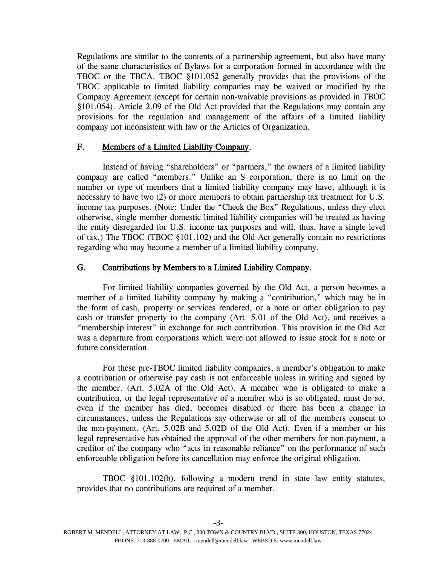Regulations are similar to the contents of a partnership agreement, but also have many of the same characteristics of Bylaws for a corporation formed in accordance with the TBOC or the TBCA. TBOC §101.052 generally provides that the provisions of the TBOC applicable to limited liability companies may be waived or modified by the Company Agreement (except for certain non-waivable provisions as provided in TBOC §101.054). Article 2.09 of the Old Act provided that the Regulations may contain any provisions for the regulation and management of the affairs of a limited liability company not inconsistent with law or the Articles of Organization.

## F. Members of a Limited Liability Company.

Instead of having "shareholders" or "partners," the owners of a limited liability company are called "members." Unlike an S corporation, there is no limit on the number or type of members that a limited liability company may have, although it is necessary to have two (2) or more members to obtain partnership tax treatment for U.S. income tax purposes. (Note: Under the "Check the Box" Regulations, unless they elect otherwise, single member domestic limited liability companies will be treated as having the entity disregarded for U.S. income tax purposes and will, thus, have a single level of tax.) The TBOC (TBOC §101.102) and the Old Act generally contain no restrictions regarding who may become a member of a limited liability company.

## G. Contributions by Members to a Limited Liability Company.

For limited liability companies governed by the Old Act, a person becomes a member of a limited liability company by making a "contribution," which may be in the form of cash, property or services rendered, or a note or other obligation to pay cash or transfer property to the company (Art. 5.01 of the Old Act), and receives a "membership interest" in exchange for such contribution. This provision in the Old Act was a departure from corporations which were not allowed to issue stock for a note or future consideration.

For these pre-TBOC limited liability companies, a member's obligation to make a contribution or otherwise pay cash is not enforceable unless in writing and signed by the member. (Art. 5.02A of the Old Act). A member who is obligated to make a contribution, or the legal representative of a member who is so obligated, must do so, even if the member has died, becomes disabled or there has been a change in circumstances, unless the Regulations say otherwise or all of the members consent to the non-payment. (Art. 5.02B and 5.02D of the Old Act). Even if a member or his legal representative has obtained the approval of the other members for non-payment, a creditor of the company who "acts in reasonable reliance" on the performance of such enforceable obligation before its cancellation may enforce the original obligation.

TBOC §101.102(b), following a modern trend in state law entity statutes, provides that no contributions are required of a member.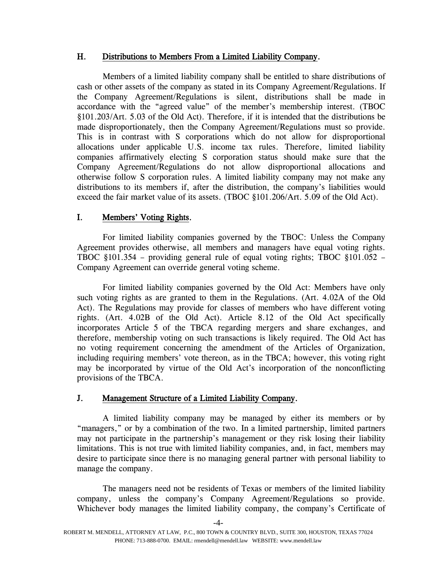## H. Distributions to Members From a Limited Liability Company.

Members of a limited liability company shall be entitled to share distributions of cash or other assets of the company as stated in its Company Agreement/Regulations. If the Company Agreement/Regulations is silent, distributions shall be made in accordance with the "agreed value" of the member's membership interest. (TBOC §101.203/Art. 5.03 of the Old Act). Therefore, if it is intended that the distributions be made disproportionately, then the Company Agreement/Regulations must so provide. This is in contrast with S corporations which do not allow for disproportional allocations under applicable U.S. income tax rules. Therefore, limited liability companies affirmatively electing S corporation status should make sure that the Company Agreement/Regulations do not allow disproportional allocations and otherwise follow S corporation rules. A limited liability company may not make any distributions to its members if, after the distribution, the company's liabilities would exceed the fair market value of its assets. (TBOC §101.206/Art. 5.09 of the Old Act).

## I. Members' Voting Rights.

For limited liability companies governed by the TBOC: Unless the Company Agreement provides otherwise, all members and managers have equal voting rights. TBOC §101.354 – providing general rule of equal voting rights; TBOC §101.052 – Company Agreement can override general voting scheme.

For limited liability companies governed by the Old Act: Members have only such voting rights as are granted to them in the Regulations. (Art. 4.02A of the Old Act). The Regulations may provide for classes of members who have different voting rights. (Art. 4.02B of the Old Act). Article 8.12 of the Old Act specifically incorporates Article 5 of the TBCA regarding mergers and share exchanges, and therefore, membership voting on such transactions is likely required. The Old Act has no voting requirement concerning the amendment of the Articles of Organization, including requiring members' vote thereon, as in the TBCA; however, this voting right may be incorporated by virtue of the Old Act's incorporation of the nonconflicting provisions of the TBCA.

## J. Management Structure of a Limited Liability Company.

A limited liability company may be managed by either its members or by "managers," or by a combination of the two. In a limited partnership, limited partners may not participate in the partnership's management or they risk losing their liability limitations. This is not true with limited liability companies, and, in fact, members may desire to participate since there is no managing general partner with personal liability to manage the company.

The managers need not be residents of Texas or members of the limited liability company, unless the company's Company Agreement/Regulations so provide. Whichever body manages the limited liability company, the company's Certificate of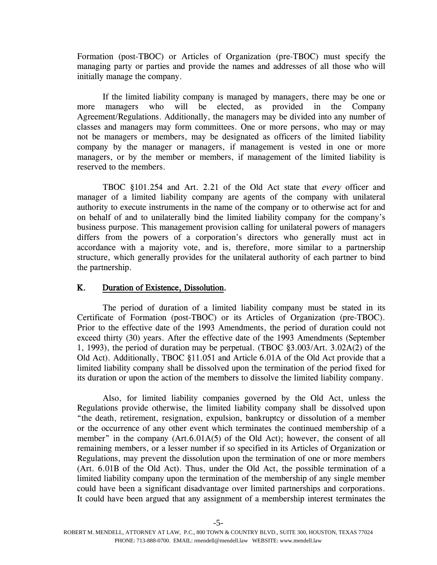Formation (post-TBOC) or Articles of Organization (pre-TBOC) must specify the managing party or parties and provide the names and addresses of all those who will initially manage the company.

If the limited liability company is managed by managers, there may be one or more managers who will be elected, as provided in the Company Agreement/Regulations. Additionally, the managers may be divided into any number of classes and managers may form committees. One or more persons, who may or may not be managers or members, may be designated as officers of the limited liability company by the manager or managers, if management is vested in one or more managers, or by the member or members, if management of the limited liability is reserved to the members.

TBOC §101.254 and Art. 2.21 of the Old Act state that every officer and manager of a limited liability company are agents of the company with unilateral authority to execute instruments in the name of the company or to otherwise act for and on behalf of and to unilaterally bind the limited liability company for the company's business purpose. This management provision calling for unilateral powers of managers differs from the powers of a corporation's directors who generally must act in accordance with a majority vote, and is, therefore, more similar to a partnership structure, which generally provides for the unilateral authority of each partner to bind the partnership.

#### K. Duration of Existence, Dissolution.

The period of duration of a limited liability company must be stated in its Certificate of Formation (post-TBOC) or its Articles of Organization (pre-TBOC). Prior to the effective date of the 1993 Amendments, the period of duration could not exceed thirty (30) years. After the effective date of the 1993 Amendments (September 1, 1993), the period of duration may be perpetual. (TBOC §3.003/Art. 3.02A(2) of the Old Act). Additionally, TBOC §11.051 and Article 6.01A of the Old Act provide that a limited liability company shall be dissolved upon the termination of the period fixed for its duration or upon the action of the members to dissolve the limited liability company.

Also, for limited liability companies governed by the Old Act, unless the Regulations provide otherwise, the limited liability company shall be dissolved upon "the death, retirement, resignation, expulsion, bankruptcy or dissolution of a member or the occurrence of any other event which terminates the continued membership of a member" in the company (Art.6.01A(5) of the Old Act); however, the consent of all remaining members, or a lesser number if so specified in its Articles of Organization or Regulations, may prevent the dissolution upon the termination of one or more members (Art. 6.01B of the Old Act). Thus, under the Old Act, the possible termination of a limited liability company upon the termination of the membership of any single member could have been a significant disadvantage over limited partnerships and corporations. It could have been argued that any assignment of a membership interest terminates the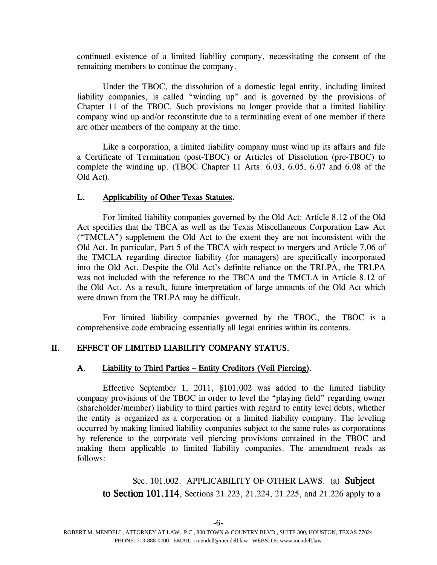continued existence of a limited liability company, necessitating the consent of the remaining members to continue the company.

Under the TBOC, the dissolution of a domestic legal entity, including limited liability companies, is called "winding up" and is governed by the provisions of Chapter 11 of the TBOC. Such provisions no longer provide that a limited liability company wind up and/or reconstitute due to a terminating event of one member if there are other members of the company at the time.

Like a corporation, a limited liability company must wind up its affairs and file a Certificate of Termination (post-TBOC) or Articles of Dissolution (pre-TBOC) to complete the winding up. (TBOC Chapter 11 Arts. 6.03, 6.05, 6.07 and 6.08 of the Old Act).

## L. Applicability of Other Texas Statutes.

For limited liability companies governed by the Old Act: Article 8.12 of the Old Act specifies that the TBCA as well as the Texas Miscellaneous Corporation Law Act ("TMCLA") supplement the Old Act to the extent they are not inconsistent with the Old Act. In particular, Part 5 of the TBCA with respect to mergers and Article 7.06 of the TMCLA regarding director liability (for managers) are specifically incorporated into the Old Act. Despite the Old Act's definite reliance on the TRLPA, the TRLPA was not included with the reference to the TBCA and the TMCLA in Article 8.12 of the Old Act. As a result, future interpretation of large amounts of the Old Act which were drawn from the TRLPA may be difficult.

For limited liability companies governed by the TBOC, the TBOC is a comprehensive code embracing essentially all legal entities within its contents.

## II. EFFECT OF LIMITED LIABILITY COMPANY STATUS.

## A. Liability to Third Parties – Entity Creditors (Veil Piercing).

Effective September 1, 2011, §101.002 was added to the limited liability company provisions of the TBOC in order to level the "playing field" regarding owner (shareholder/member) liability to third parties with regard to entity level debts, whether the entity is organized as a corporation or a limited liability company. The leveling occurred by making limited liability companies subject to the same rules as corporations by reference to the corporate veil piercing provisions contained in the TBOC and making them applicable to limited liability companies. The amendment reads as follows:

Sec. 101.002. APPLICABILITY OF OTHER LAWS. (a) Subject to Section 101.114, Sections 21.223, 21.224, 21.225, and 21.226 apply to a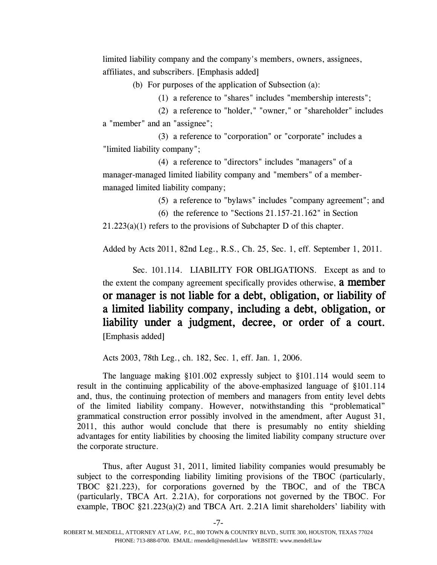limited liability company and the company's members, owners, assignees, affiliates, and subscribers. [Emphasis added]

(b) For purposes of the application of Subsection (a):

(1) a reference to "shares" includes "membership interests";

(2) a reference to "holder," "owner," or "shareholder" includes a "member" and an "assignee";

(3) a reference to "corporation" or "corporate" includes a "limited liability company";

(4) a reference to "directors" includes "managers" of a manager-managed limited liability company and "members" of a membermanaged limited liability company;

(5) a reference to "bylaws" includes "company agreement"; and

(6) the reference to "Sections 21.157-21.162" in Section

21.223(a)(1) refers to the provisions of Subchapter D of this chapter.

Added by Acts 2011, 82nd Leg., R.S., Ch. 25, Sec. 1, eff. September 1, 2011.

Sec. 101.114. LIABILITY FOR OBLIGATIONS. Except as and to the extent the company agreement specifically provides otherwise, **a member** or manager is not liable for a debt, obligation, or liability of a limited liability company, including a debt, obligation, or liability under a judgment, decree, or order of a court. [Emphasis added]

Acts 2003, 78th Leg., ch. 182, Sec. 1, eff. Jan. 1, 2006.

The language making §101.002 expressly subject to §101.114 would seem to result in the continuing applicability of the above-emphasized language of §101.114 and, thus, the continuing protection of members and managers from entity level debts of the limited liability company. However, notwithstanding this "problematical" grammatical construction error possibly involved in the amendment, after August 31, 2011, this author would conclude that there is presumably no entity shielding advantages for entity liabilities by choosing the limited liability company structure over the corporate structure.

Thus, after August 31, 2011, limited liability companies would presumably be subject to the corresponding liability limiting provisions of the TBOC (particularly, TBOC §21.223), for corporations governed by the TBOC, and of the TBCA (particularly, TBCA Art. 2.21A), for corporations not governed by the TBOC. For example, TBOC §21.223(a)(2) and TBCA Art. 2.21A limit shareholders' liability with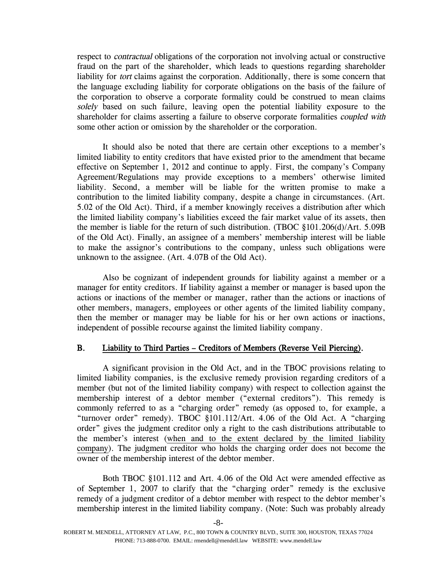respect to *contractual* obligations of the corporation not involving actual or constructive fraud on the part of the shareholder, which leads to questions regarding shareholder liability for *tort* claims against the corporation. Additionally, there is some concern that the language excluding liability for corporate obligations on the basis of the failure of the corporation to observe a corporate formality could be construed to mean claims solely based on such failure, leaving open the potential liability exposure to the shareholder for claims asserting a failure to observe corporate formalities *coupled with* some other action or omission by the shareholder or the corporation.

It should also be noted that there are certain other exceptions to a member's limited liability to entity creditors that have existed prior to the amendment that became effective on September 1, 2012 and continue to apply. First, the company's Company Agreement/Regulations may provide exceptions to a members' otherwise limited liability. Second, a member will be liable for the written promise to make a contribution to the limited liability company, despite a change in circumstances. (Art. 5.02 of the Old Act). Third, if a member knowingly receives a distribution after which the limited liability company's liabilities exceed the fair market value of its assets, then the member is liable for the return of such distribution. (TBOC §101.206(d)/Art. 5.09B of the Old Act). Finally, an assignee of a members' membership interest will be liable to make the assignor's contributions to the company, unless such obligations were unknown to the assignee. (Art. 4.07B of the Old Act).

Also be cognizant of independent grounds for liability against a member or a manager for entity creditors. If liability against a member or manager is based upon the actions or inactions of the member or manager, rather than the actions or inactions of other members, managers, employees or other agents of the limited liability company, then the member or manager may be liable for his or her own actions or inactions, independent of possible recourse against the limited liability company.

#### B. Liability to Third Parties – Creditors of Members (Reverse Veil Piercing).

A significant provision in the Old Act, and in the TBOC provisions relating to limited liability companies, is the exclusive remedy provision regarding creditors of a member (but not of the limited liability company) with respect to collection against the membership interest of a debtor member ("external creditors"). This remedy is commonly referred to as a "charging order" remedy (as opposed to, for example, a "turnover order" remedy). TBOC §101.112/Art. 4.06 of the Old Act. A "charging order" gives the judgment creditor only a right to the cash distributions attributable to the member's interest (when and to the extent declared by the limited liability company). The judgment creditor who holds the charging order does not become the owner of the membership interest of the debtor member.

Both TBOC §101.112 and Art. 4.06 of the Old Act were amended effective as of September 1, 2007 to clarify that the "charging order" remedy is the exclusive remedy of a judgment creditor of a debtor member with respect to the debtor member's membership interest in the limited liability company. (Note: Such was probably already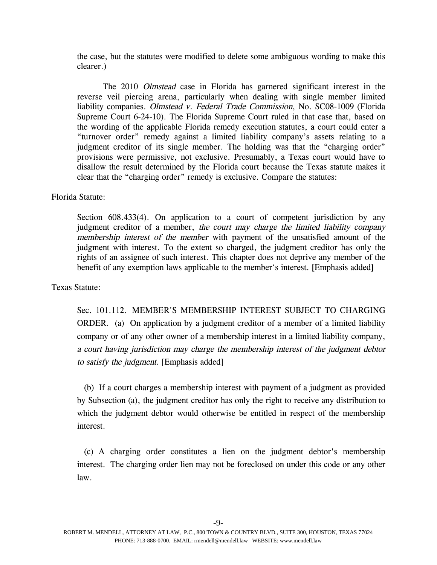the case, but the statutes were modified to delete some ambiguous wording to make this clearer.)

The 2010 Olmstead case in Florida has garnered significant interest in the reverse veil piercing arena, particularly when dealing with single member limited liability companies. Olmstead v. Federal Trade Commission, No. SC08-1009 (Florida Supreme Court 6-24-10). The Florida Supreme Court ruled in that case that, based on the wording of the applicable Florida remedy execution statutes, a court could enter a "turnover order" remedy against a limited liability company's assets relating to a judgment creditor of its single member. The holding was that the "charging order" provisions were permissive, not exclusive. Presumably, a Texas court would have to disallow the result determined by the Florida court because the Texas statute makes it clear that the "charging order" remedy is exclusive. Compare the statutes:

#### Florida Statute:

Section  $608.433(4)$ . On application to a court of competent jurisdiction by any judgment creditor of a member, the court may charge the limited liability company membership interest of the member with payment of the unsatisfied amount of the judgment with interest. To the extent so charged, the judgment creditor has only the rights of an assignee of such interest. This chapter does not deprive any member of the benefit of any exemption laws applicable to the member's interest. [Emphasis added]

#### Texas Statute:

Sec. 101.112. MEMBER'S MEMBERSHIP INTEREST SUBJECT TO CHARGING ORDER. (a) On application by a judgment creditor of a member of a limited liability company or of any other owner of a membership interest in a limited liability company, <sup>a</sup> court having jurisdiction may charge the membership interest of the judgment debtor to satisfy the judgment. [Emphasis added]

(b) If a court charges a membership interest with payment of a judgment as provided by Subsection (a), the judgment creditor has only the right to receive any distribution to which the judgment debtor would otherwise be entitled in respect of the membership interest.

(c) A charging order constitutes a lien on the judgment debtor's membership interest. The charging order lien may not be foreclosed on under this code or any other law.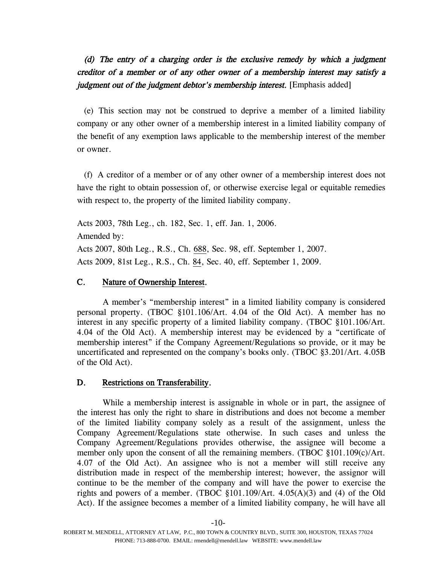# (d) The entry of <sup>a</sup> charging order is the exclusive remedy by which <sup>a</sup> judgment creditor of <sup>a</sup> member or of any other owner of <sup>a</sup> membership interest may satisfy <sup>a</sup> judgment out of the judgment debtor's membership interest. [Emphasis added]

(e) This section may not be construed to deprive a member of a limited liability company or any other owner of a membership interest in a limited liability company of the benefit of any exemption laws applicable to the membership interest of the member or owner.

(f) A creditor of a member or of any other owner of a membership interest does not have the right to obtain possession of, or otherwise exercise legal or equitable remedies with respect to, the property of the limited liability company.

Acts 2003, 78th Leg., ch. 182, Sec. 1, eff. Jan. 1, 2006. Amended by: Acts 2007, 80th Leg., R.S., Ch. [688](http://www.legis.state.tx.us/tlodocs/80R/billtext/html/HB01737F.HTM), Sec. 98, eff. September 1, 2007. Acts 2009, 81st Leg., R.S., Ch. [84](http://www.legis.state.tx.us/tlodocs/81R/billtext/html/SB01442F.HTM), Sec. 40, eff. September 1, 2009.

## C. Nature of Ownership Interest.

A member's "membership interest" in a limited liability company is considered personal property. (TBOC §101.106/Art. 4.04 of the Old Act). A member has no interest in any specific property of a limited liability company. (TBOC §101.106/Art. 4.04 of the Old Act). A membership interest may be evidenced by a "certificate of membership interest" if the Company Agreement/Regulations so provide, or it may be uncertificated and represented on the company's books only. (TBOC §3.201/Art. 4.05B of the Old Act).

#### D. Restrictions on Transferability.

While a membership interest is assignable in whole or in part, the assignee of the interest has only the right to share in distributions and does not become a member of the limited liability company solely as a result of the assignment, unless the Company Agreement/Regulations state otherwise. In such cases and unless the Company Agreement/Regulations provides otherwise, the assignee will become a member only upon the consent of all the remaining members. (TBOC §101.109(c)/Art. 4.07 of the Old Act). An assignee who is not a member will still receive any distribution made in respect of the membership interest; however, the assignor will continue to be the member of the company and will have the power to exercise the rights and powers of a member. (TBOC  $\S 101.109/Art. 4.05(A)(3)$  and (4) of the Old Act). If the assignee becomes a member of a limited liability company, he will have all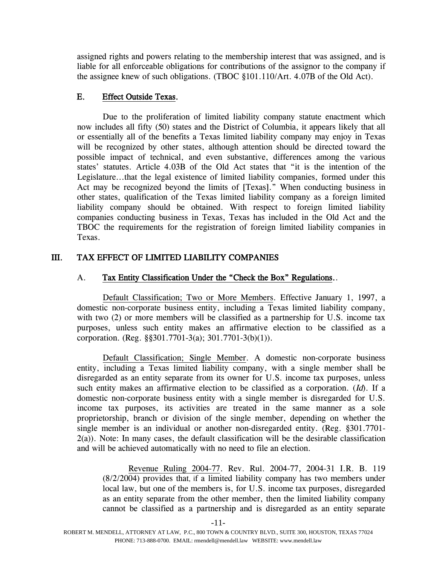assigned rights and powers relating to the membership interest that was assigned, and is liable for all enforceable obligations for contributions of the assignor to the company if the assignee knew of such obligations. (TBOC §101.110/Art. 4.07B of the Old Act).

## E. Effect Outside Texas.

Due to the proliferation of limited liability company statute enactment which now includes all fifty (50) states and the District of Columbia, it appears likely that all or essentially all of the benefits a Texas limited liability company may enjoy in Texas will be recognized by other states, although attention should be directed toward the possible impact of technical, and even substantive, differences among the various states' statutes. Article 4.03B of the Old Act states that "it is the intention of the Legislature...that the legal existence of limited liability companies, formed under this Act may be recognized beyond the limits of [Texas]." When conducting business in other states, qualification of the Texas limited liability company as a foreign limited liability company should be obtained. With respect to foreign limited liability companies conducting business in Texas, Texas has included in the Old Act and the TBOC the requirements for the registration of foreign limited liability companies in Texas.

# III. TAX EFFECT OF LIMITED LIABILITY COMPANIES

## A. Tax Entity Classification Under the "Check the Box" Regulations..

Default Classification; Two or More Members. Effective January 1, 1997, a domestic non-corporate business entity, including a Texas limited liability company, with two (2) or more members will be classified as a partnership for U.S. income tax purposes, unless such entity makes an affirmative election to be classified as a corporation. (Reg. §§301.7701-3(a); 301.7701-3(b)(1)).

Default Classification; Single Member. A domestic non-corporate business entity, including a Texas limited liability company, with a single member shall be disregarded as an entity separate from its owner for U.S. income tax purposes, unless such entity makes an affirmative election to be classified as a corporation. (Id). If a domestic non-corporate business entity with a single member is disregarded for U.S. income tax purposes, its activities are treated in the same manner as a sole proprietorship, branch or division of the single member, depending on whether the single member is an individual or another non-disregarded entity. (Reg. §301.7701- 2(a)). Note: In many cases, the default classification will be the desirable classification and will be achieved automatically with no need to file an election.

Revenue Ruling 2004-77. Rev. Rul. 2004-77, 2004-31 I.R. B. 119 (8/2/2004) provides that, if a limited liability company has two members under local law, but one of the members is, for U.S. income tax purposes, disregarded as an entity separate from the other member, then the limited liability company cannot be classified as a partnership and is disregarded as an entity separate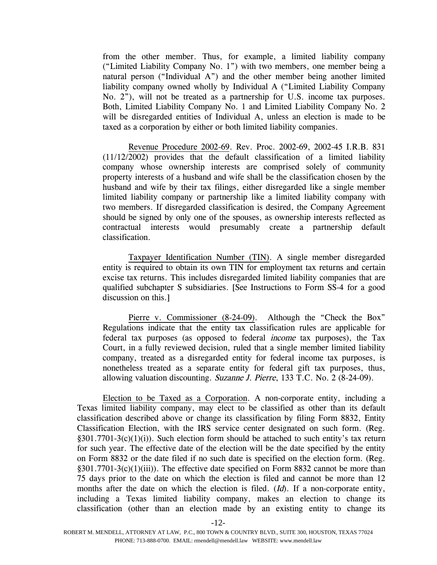from the other member. Thus, for example, a limited liability company ("Limited Liability Company No. 1") with two members, one member being a natural person ("Individual A") and the other member being another limited liability company owned wholly by Individual A ("Limited Liability Company No. 2"), will not be treated as a partnership for U.S. income tax purposes. Both, Limited Liability Company No. 1 and Limited Liability Company No. 2 will be disregarded entities of Individual A, unless an election is made to be taxed as a corporation by either or both limited liability companies.

Revenue Procedure 2002-69. Rev. Proc. 2002-69, 2002-45 I.R.B. 831 (11/12/2002) provides that the default classification of a limited liability company whose ownership interests are comprised solely of community property interests of a husband and wife shall be the classification chosen by the husband and wife by their tax filings, either disregarded like a single member limited liability company or partnership like a limited liability company with two members. If disregarded classification is desired, the Company Agreement should be signed by only one of the spouses, as ownership interests reflected as contractual interests would presumably create a partnership default classification.

Taxpayer Identification Number (TIN). A single member disregarded entity is required to obtain its own TIN for employment tax returns and certain excise tax returns. This includes disregarded limited liability companies that are qualified subchapter S subsidiaries. [See Instructions to Form SS-4 for a good discussion on this.]

Pierre v. Commissioner (8-24-09). Although the "Check the Box" Regulations indicate that the entity tax classification rules are applicable for federal tax purposes (as opposed to federal income tax purposes), the Tax Court, in a fully reviewed decision, ruled that a single member limited liability company, treated as a disregarded entity for federal income tax purposes, is nonetheless treated as a separate entity for federal gift tax purposes, thus, allowing valuation discounting. Suzanne J. Pierre, 133 T.C. No. 2 (8-24-09).

Election to be Taxed as a Corporation. A non-corporate entity, including a Texas limited liability company, may elect to be classified as other than its default classification described above or change its classification by filing Form 8832, Entity Classification Election, with the IRS service center designated on such form. (Reg.  $§301.7701-3(c)(1)(i)$ . Such election form should be attached to such entity's tax return for such year. The effective date of the election will be the date specified by the entity on Form 8832 or the date filed if no such date is specified on the election form. (Reg. §301.7701-3(c)(1)(iii)). The effective date specified on Form 8832 cannot be more than 75 days prior to the date on which the election is filed and cannot be more than 12 months after the date on which the election is filed. (Id). If a non-corporate entity, including a Texas limited liability company, makes an election to change its classification (other than an election made by an existing entity to change its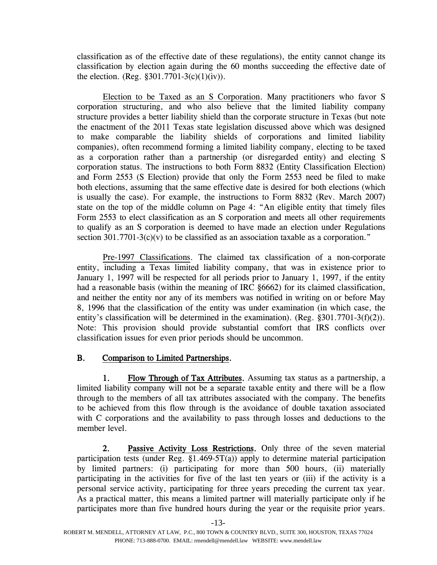classification as of the effective date of these regulations), the entity cannot change its classification by election again during the 60 months succeeding the effective date of the election. (Reg.  $§301.7701-3(c)(1)(iv)$ ).

Election to be Taxed as an S Corporation. Many practitioners who favor S corporation structuring, and who also believe that the limited liability company structure provides a better liability shield than the corporate structure in Texas (but note the enactment of the 2011 Texas state legislation discussed above which was designed to make comparable the liability shields of corporations and limited liability companies), often recommend forming a limited liability company, electing to be taxed as a corporation rather than a partnership (or disregarded entity) and electing S corporation status. The instructions to both Form 8832 (Entity Classification Election) and Form 2553 (S Election) provide that only the Form 2553 need be filed to make both elections, assuming that the same effective date is desired for both elections (which is usually the case). For example, the instructions to Form 8832 (Rev. March 2007) state on the top of the middle column on Page 4: "An eligible entity that timely files Form 2553 to elect classification as an S corporation and meets all other requirements to qualify as an S corporation is deemed to have made an election under Regulations section  $301.7701-3(c)(v)$  to be classified as an association taxable as a corporation."

Pre-1997 Classifications. The claimed tax classification of a non-corporate entity, including a Texas limited liability company, that was in existence prior to January 1, 1997 will be respected for all periods prior to January 1, 1997, if the entity had a reasonable basis (within the meaning of IRC §6662) for its claimed classification, and neither the entity nor any of its members was notified in writing on or before May 8, 1996 that the classification of the entity was under examination (in which case, the entity's classification will be determined in the examination). (Reg. §301.7701-3(f)(2)). Note: This provision should provide substantial comfort that IRS conflicts over classification issues for even prior periods should be uncommon.

## B. Comparison to Limited Partnerships.

1. Flow Through of Tax Attributes. Assuming tax status as a partnership, a limited liability company will not be a separate taxable entity and there will be a flow through to the members of all tax attributes associated with the company. The benefits to be achieved from this flow through is the avoidance of double taxation associated with C corporations and the availability to pass through losses and deductions to the member level.

2. Passive Activity Loss Restrictions. Only three of the seven material participation tests (under Reg.  $\S1.469-5T(a)$ ) apply to determine material participation by limited partners: (i) participating for more than 500 hours, (ii) materially participating in the activities for five of the last ten years or (iii) if the activity is a personal service activity, participating for three years preceding the current tax year. As a practical matter, this means a limited partner will materially participate only if he participates more than five hundred hours during the year or the requisite prior years.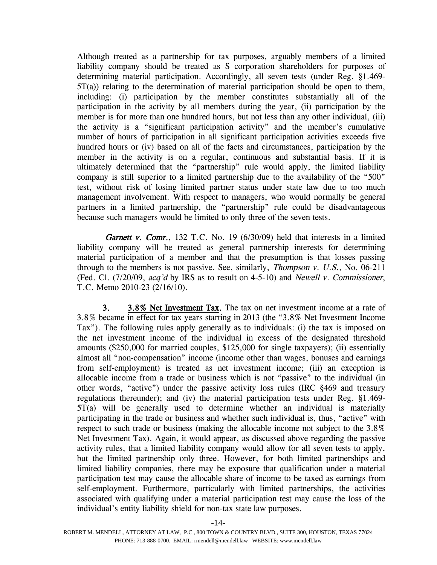Although treated as a partnership for tax purposes, arguably members of a limited liability company should be treated as S corporation shareholders for purposes of determining material participation. Accordingly, all seven tests (under Reg. §1.469- 5T(a)) relating to the determination of material participation should be open to them, including: (i) participation by the member constitutes substantially all of the participation in the activity by all members during the year, (ii) participation by the member is for more than one hundred hours, but not less than any other individual, (iii) the activity is a "significant participation activity" and the member's cumulative number of hours of participation in all significant participation activities exceeds five hundred hours or (iv) based on all of the facts and circumstances, participation by the member in the activity is on a regular, continuous and substantial basis. If it is ultimately determined that the "partnership" rule would apply, the limited liability company is still superior to a limited partnership due to the availability of the "500" test, without risk of losing limited partner status under state law due to too much management involvement. With respect to managers, who would normally be general partners in a limited partnership, the "partnership" rule could be disadvantageous because such managers would be limited to only three of the seven tests.

Garnett v. Comr., 132 T.C. No. 19  $(6/30/09)$  held that interests in a limited liability company will be treated as general partnership interests for determining material participation of a member and that the presumption is that losses passing through to the members is not passive. See, similarly, *Thompson v. U.S.*, No. 06-211 (Fed. Cl. (7/20/09, acq'd by IRS as to result on 4-5-10) and Newell v. Commissioner, T.C. Memo 2010-23 (2/16/10).

3. 3.8% Net Investment Tax. The tax on net investment income at a rate of 3.8% became in effect for tax years starting in 2013 (the "3.8% Net Investment Income Tax"). The following rules apply generally as to individuals: (i) the tax is imposed on the net investment income of the individual in excess of the designated threshold amounts (\$250,000 for married couples, \$125,000 for single taxpayers); (ii) essentially almost all "non-compensation" income (income other than wages, bonuses and earnings from self-employment) is treated as net investment income; (iii) an exception is allocable income from a trade or business which is not "passive" to the individual (in other words, "active") under the passive activity loss rules (IRC §469 and treasury regulations thereunder); and (iv) the material participation tests under Reg. §1.469- 5T(a) will be generally used to determine whether an individual is materially participating in the trade or business and whether such individual is, thus, "active" with respect to such trade or business (making the allocable income not subject to the 3.8% Net Investment Tax). Again, it would appear, as discussed above regarding the passive activity rules, that a limited liability company would allow for all seven tests to apply, but the limited partnership only three. However, for both limited partnerships and limited liability companies, there may be exposure that qualification under a material participation test may cause the allocable share of income to be taxed as earnings from self-employment. Furthermore, particularly with limited partnerships, the activities associated with qualifying under a material participation test may cause the loss of the individual's entity liability shield for non-tax state law purposes.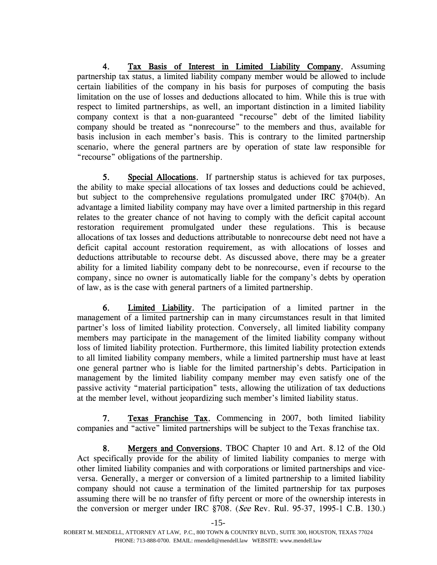4. Tax Basis of Interest in Limited Liability Company. Assuming partnership tax status, a limited liability company member would be allowed to include certain liabilities of the company in his basis for purposes of computing the basis limitation on the use of losses and deductions allocated to him. While this is true with respect to limited partnerships, as well, an important distinction in a limited liability company context is that a non-guaranteed "recourse" debt of the limited liability company should be treated as "nonrecourse" to the members and thus, available for basis inclusion in each member's basis. This is contrary to the limited partnership scenario, where the general partners are by operation of state law responsible for "recourse" obligations of the partnership.

5. Special Allocations. If partnership status is achieved for tax purposes, the ability to make special allocations of tax losses and deductions could be achieved, but subject to the comprehensive regulations promulgated under IRC §704(b). An advantage a limited liability company may have over a limited partnership in this regard relates to the greater chance of not having to comply with the deficit capital account restoration requirement promulgated under these regulations. This is because allocations of tax losses and deductions attributable to nonrecourse debt need not have a deficit capital account restoration requirement, as with allocations of losses and deductions attributable to recourse debt. As discussed above, there may be a greater ability for a limited liability company debt to be nonrecourse, even if recourse to the company, since no owner is automatically liable for the company's debts by operation of law, as is the case with general partners of a limited partnership.

6. Limited Liability. The participation of a limited partner in the management of a limited partnership can in many circumstances result in that limited partner's loss of limited liability protection. Conversely, all limited liability company members may participate in the management of the limited liability company without loss of limited liability protection. Furthermore, this limited liability protection extends to all limited liability company members, while a limited partnership must have at least one general partner who is liable for the limited partnership's debts. Participation in management by the limited liability company member may even satisfy one of the passive activity "material participation" tests, allowing the utilization of tax deductions at the member level, without jeopardizing such member's limited liability status.

7. Texas Franchise Tax. Commencing in 2007, both limited liability companies and "active" limited partnerships will be subject to the Texas franchise tax.

8. Mergers and Conversions. TBOC Chapter 10 and Art. 8.12 of the Old Act specifically provide for the ability of limited liability companies to merge with other limited liability companies and with corporations or limited partnerships and viceversa. Generally, a merger or conversion of a limited partnership to a limited liability company should not cause a termination of the limited partnership for tax purposes assuming there will be no transfer of fifty percent or more of the ownership interests in the conversion or merger under IRC §708. (See Rev. Rul. 95-37, 1995-1 C.B. 130.)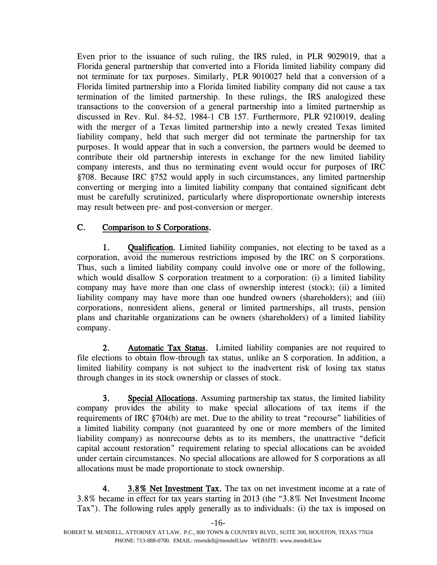Even prior to the issuance of such ruling, the IRS ruled, in PLR 9029019, that a Florida general partnership that converted into a Florida limited liability company did not terminate for tax purposes. Similarly, PLR 9010027 held that a conversion of a Florida limited partnership into a Florida limited liability company did not cause a tax termination of the limited partnership. In these rulings, the IRS analogized these transactions to the conversion of a general partnership into a limited partnership as discussed in Rev. Rul. 84-52, 1984-1 CB 157. Furthermore, PLR 9210019, dealing with the merger of a Texas limited partnership into a newly created Texas limited liability company, held that such merger did not terminate the partnership for tax purposes. It would appear that in such a conversion, the partners would be deemed to contribute their old partnership interests in exchange for the new limited liability company interests, and thus no terminating event would occur for purposes of IRC §708. Because IRC §752 would apply in such circumstances, any limited partnership converting or merging into a limited liability company that contained significant debt must be carefully scrutinized, particularly where disproportionate ownership interests may result between pre- and post-conversion or merger.

# C. Comparison to S Corporations.

1. Qualification. Limited liability companies, not electing to be taxed as a corporation, avoid the numerous restrictions imposed by the IRC on S corporations. Thus, such a limited liability company could involve one or more of the following, which would disallow S corporation treatment to a corporation: (i) a limited liability company may have more than one class of ownership interest (stock); (ii) a limited liability company may have more than one hundred owners (shareholders); and (iii) corporations, nonresident aliens, general or limited partnerships, all trusts, pension plans and charitable organizations can be owners (shareholders) of a limited liability company.

2. Automatic Tax Status. Limited liability companies are not required to file elections to obtain flow-through tax status, unlike an S corporation. In addition, a limited liability company is not subject to the inadvertent risk of losing tax status through changes in its stock ownership or classes of stock.

3. Special Allocations. Assuming partnership tax status, the limited liability company provides the ability to make special allocations of tax items if the requirements of IRC §704(b) are met. Due to the ability to treat "recourse" liabilities of a limited liability company (not guaranteed by one or more members of the limited liability company) as nonrecourse debts as to its members, the unattractive "deficit capital account restoration" requirement relating to special allocations can be avoided under certain circumstances. No special allocations are allowed for S corporations as all allocations must be made proportionate to stock ownership.

4. 3.8% Net Investment Tax. The tax on net investment income at a rate of 3.8% became in effect for tax years starting in 2013 (the "3.8% Net Investment Income Tax"). The following rules apply generally as to individuals: (i) the tax is imposed on

-16-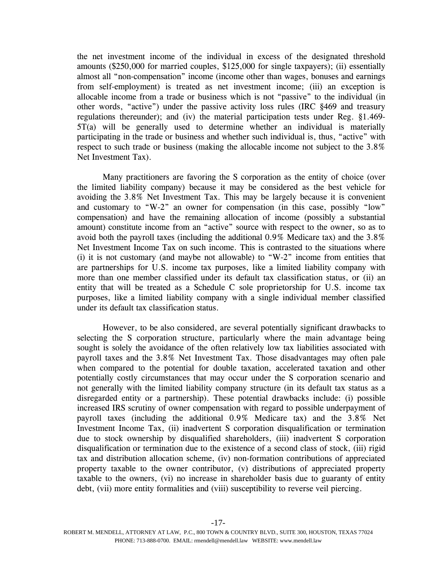the net investment income of the individual in excess of the designated threshold amounts (\$250,000 for married couples, \$125,000 for single taxpayers); (ii) essentially almost all "non-compensation" income (income other than wages, bonuses and earnings from self-employment) is treated as net investment income; (iii) an exception is allocable income from a trade or business which is not "passive" to the individual (in other words, "active") under the passive activity loss rules (IRC §469 and treasury regulations thereunder); and (iv) the material participation tests under Reg. §1.469- 5T(a) will be generally used to determine whether an individual is materially participating in the trade or business and whether such individual is, thus, "active" with respect to such trade or business (making the allocable income not subject to the 3.8% Net Investment Tax).

Many practitioners are favoring the S corporation as the entity of choice (over the limited liability company) because it may be considered as the best vehicle for avoiding the 3.8% Net Investment Tax. This may be largely because it is convenient and customary to "W-2" an owner for compensation (in this case, possibly "low" compensation) and have the remaining allocation of income (possibly a substantial amount) constitute income from an "active" source with respect to the owner, so as to avoid both the payroll taxes (including the additional 0.9% Medicare tax) and the 3.8% Net Investment Income Tax on such income. This is contrasted to the situations where (i) it is not customary (and maybe not allowable) to "W-2" income from entities that are partnerships for U.S. income tax purposes, like a limited liability company with more than one member classified under its default tax classification status, or (ii) an entity that will be treated as a Schedule C sole proprietorship for U.S. income tax purposes, like a limited liability company with a single individual member classified under its default tax classification status.

However, to be also considered, are several potentially significant drawbacks to selecting the S corporation structure, particularly where the main advantage being sought is solely the avoidance of the often relatively low tax liabilities associated with payroll taxes and the 3.8% Net Investment Tax. Those disadvantages may often pale when compared to the potential for double taxation, accelerated taxation and other potentially costly circumstances that may occur under the S corporation scenario and not generally with the limited liability company structure (in its default tax status as a disregarded entity or a partnership). These potential drawbacks include: (i) possible increased IRS scrutiny of owner compensation with regard to possible underpayment of payroll taxes (including the additional 0.9% Medicare tax) and the 3.8% Net Investment Income Tax, (ii) inadvertent S corporation disqualification or termination due to stock ownership by disqualified shareholders, (iii) inadvertent S corporation disqualification or termination due to the existence of a second class of stock, (iii) rigid tax and distribution allocation scheme, (iv) non-formation contributions of appreciated property taxable to the owner contributor, (v) distributions of appreciated property taxable to the owners, (vi) no increase in shareholder basis due to guaranty of entity debt, (vii) more entity formalities and (viii) susceptibility to reverse veil piercing.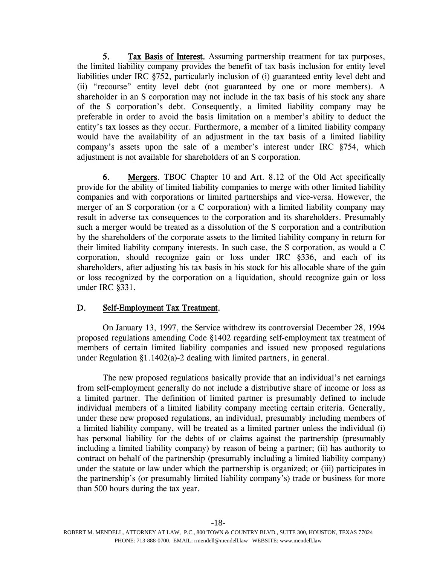5. Tax Basis of Interest. Assuming partnership treatment for tax purposes, the limited liability company provides the benefit of tax basis inclusion for entity level liabilities under IRC §752, particularly inclusion of (i) guaranteed entity level debt and (ii) "recourse" entity level debt (not guaranteed by one or more members). A shareholder in an S corporation may not include in the tax basis of his stock any share of the S corporation's debt. Consequently, a limited liability company may be preferable in order to avoid the basis limitation on a member's ability to deduct the entity's tax losses as they occur. Furthermore, a member of a limited liability company would have the availability of an adjustment in the tax basis of a limited liability company's assets upon the sale of a member's interest under IRC §754, which adjustment is not available for shareholders of an S corporation.

6. Mergers. TBOC Chapter 10 and Art. 8.12 of the Old Act specifically provide for the ability of limited liability companies to merge with other limited liability companies and with corporations or limited partnerships and vice-versa. However, the merger of an S corporation (or a C corporation) with a limited liability company may result in adverse tax consequences to the corporation and its shareholders. Presumably such a merger would be treated as a dissolution of the S corporation and a contribution by the shareholders of the corporate assets to the limited liability company in return for their limited liability company interests. In such case, the S corporation, as would a C corporation, should recognize gain or loss under IRC §336, and each of its shareholders, after adjusting his tax basis in his stock for his allocable share of the gain or loss recognized by the corporation on a liquidation, should recognize gain or loss under IRC §331.

#### D. Self-Employment Tax Treatment.

On January 13, 1997, the Service withdrew its controversial December 28, 1994 proposed regulations amending Code §1402 regarding self-employment tax treatment of members of certain limited liability companies and issued new proposed regulations under Regulation §1.1402(a)-2 dealing with limited partners, in general.

The new proposed regulations basically provide that an individual's net earnings from self-employment generally do not include a distributive share of income or loss as a limited partner. The definition of limited partner is presumably defined to include individual members of a limited liability company meeting certain criteria. Generally, under these new proposed regulations, an individual, presumably including members of a limited liability company, will be treated as a limited partner unless the individual (i) has personal liability for the debts of or claims against the partnership (presumably including a limited liability company) by reason of being a partner; (ii) has authority to contract on behalf of the partnership (presumably including a limited liability company) under the statute or law under which the partnership is organized; or (iii) participates in the partnership's (or presumably limited liability company's) trade or business for more than 500 hours during the tax year.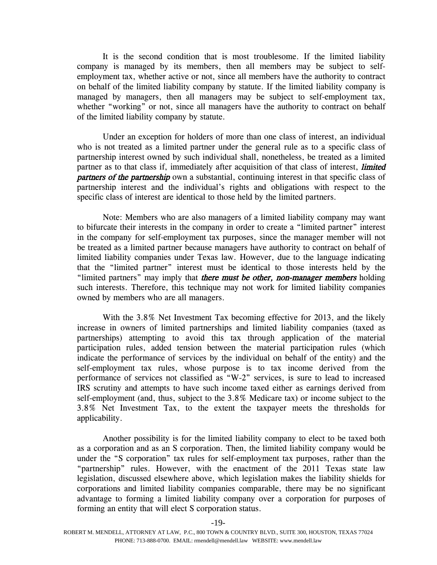It is the second condition that is most troublesome. If the limited liability company is managed by its members, then all members may be subject to selfemployment tax, whether active or not, since all members have the authority to contract on behalf of the limited liability company by statute. If the limited liability company is managed by managers, then all managers may be subject to self-employment tax, whether "working" or not, since all managers have the authority to contract on behalf of the limited liability company by statute.

Under an exception for holders of more than one class of interest, an individual who is not treated as a limited partner under the general rule as to a specific class of partnership interest owned by such individual shall, nonetheless, be treated as a limited partner as to that class if, immediately after acquisition of that class of interest, *limited* **partners of the partnership** own a substantial, continuing interest in that specific class of partnership interest and the individual's rights and obligations with respect to the specific class of interest are identical to those held by the limited partners.

Note: Members who are also managers of a limited liability company may want to bifurcate their interests in the company in order to create a "limited partner" interest in the company for self-employment tax purposes, since the manager member will not be treated as a limited partner because managers have authority to contract on behalf of limited liability companies under Texas law. However, due to the language indicating that the "limited partner" interest must be identical to those interests held by the "limited partners" may imply that there must be other, non-manager members holding such interests. Therefore, this technique may not work for limited liability companies owned by members who are all managers.

With the 3.8% Net Investment Tax becoming effective for 2013, and the likely increase in owners of limited partnerships and limited liability companies (taxed as partnerships) attempting to avoid this tax through application of the material participation rules, added tension between the material participation rules (which indicate the performance of services by the individual on behalf of the entity) and the self-employment tax rules, whose purpose is to tax income derived from the performance of services not classified as "W-2" services, is sure to lead to increased IRS scrutiny and attempts to have such income taxed either as earnings derived from self-employment (and, thus, subject to the 3.8% Medicare tax) or income subject to the 3.8% Net Investment Tax, to the extent the taxpayer meets the thresholds for applicability.

Another possibility is for the limited liability company to elect to be taxed both as a corporation and as an S corporation. Then, the limited liability company would be under the "S corporation" tax rules for self-employment tax purposes, rather than the "partnership" rules. However, with the enactment of the 2011 Texas state law legislation, discussed elsewhere above, which legislation makes the liability shields for corporations and limited liability companies comparable, there may be no significant advantage to forming a limited liability company over a corporation for purposes of forming an entity that will elect S corporation status.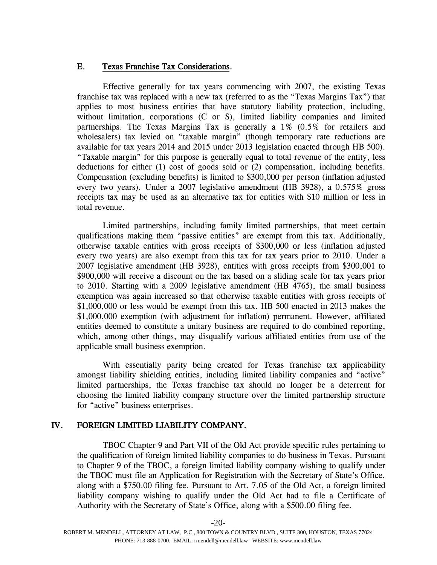#### E. Texas Franchise Tax Considerations.

Effective generally for tax years commencing with 2007, the existing Texas franchise tax was replaced with a new tax (referred to as the "Texas Margins Tax") that applies to most business entities that have statutory liability protection, including, without limitation, corporations (C or S), limited liability companies and limited partnerships. The Texas Margins Tax is generally a 1% (0.5% for retailers and wholesalers) tax levied on "taxable margin" (though temporary rate reductions are available for tax years 2014 and 2015 under 2013 legislation enacted through HB 500). "Taxable margin" for this purpose is generally equal to total revenue of the entity, less deductions for either (1) cost of goods sold or (2) compensation, including benefits. Compensation (excluding benefits) is limited to \$300,000 per person (inflation adjusted every two years). Under a 2007 legislative amendment (HB 3928), a 0.575% gross receipts tax may be used as an alternative tax for entities with \$10 million or less in total revenue.

Limited partnerships, including family limited partnerships, that meet certain qualifications making them "passive entities" are exempt from this tax. Additionally, otherwise taxable entities with gross receipts of \$300,000 or less (inflation adjusted every two years) are also exempt from this tax for tax years prior to 2010. Under a 2007 legislative amendment (HB 3928), entities with gross receipts from \$300,001 to \$900,000 will receive a discount on the tax based on a sliding scale for tax years prior to 2010. Starting with a 2009 legislative amendment (HB 4765), the small business exemption was again increased so that otherwise taxable entities with gross receipts of \$1,000,000 or less would be exempt from this tax. HB 500 enacted in 2013 makes the \$1,000,000 exemption (with adjustment for inflation) permanent. However, affiliated entities deemed to constitute a unitary business are required to do combined reporting, which, among other things, may disqualify various affiliated entities from use of the applicable small business exemption.

With essentially parity being created for Texas franchise tax applicability amongst liability shielding entities, including limited liability companies and "active" limited partnerships, the Texas franchise tax should no longer be a deterrent for choosing the limited liability company structure over the limited partnership structure for "active" business enterprises.

## IV. FOREIGN LIMITED LIABILITY COMPANY.

TBOC Chapter 9 and Part VII of the Old Act provide specific rules pertaining to the qualification of foreign limited liability companies to do business in Texas. Pursuant to Chapter 9 of the TBOC, a foreign limited liability company wishing to qualify under the TBOC must file an Application for Registration with the Secretary of State's Office, along with a \$750.00 filing fee. Pursuant to Art. 7.05 of the Old Act, a foreign limited liability company wishing to qualify under the Old Act had to file a Certificate of Authority with the Secretary of State's Office, along with a \$500.00 filing fee.